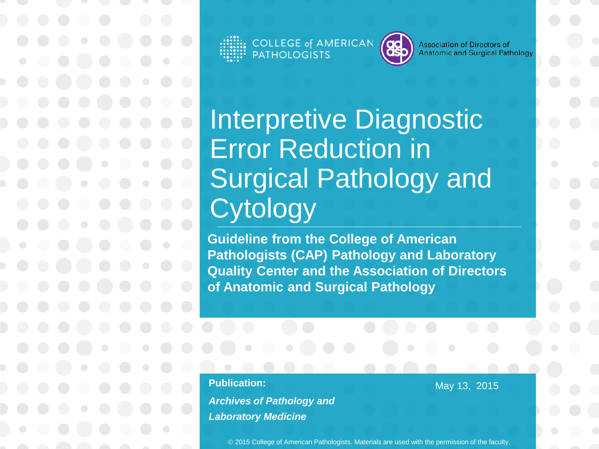COLLEGE of AMERICAN<br>PATHOLOGISTS



**Association of Directors of** Anatomic and Surgical Pathology

Interpretive Diagnostic Error Reduction in Surgical Pathology and **Cytology** 

**Guideline from the College of American Pathologists (CAP) Pathology and Laboratory Quality Center and the Association of Directors of Anatomic and Surgical Pathology**

**Publication:** 

*Archives of Pathology and Laboratory Medicine*

May 13, 2015

2015 College of American Pathologists. Materials are used with the permission of the faculty.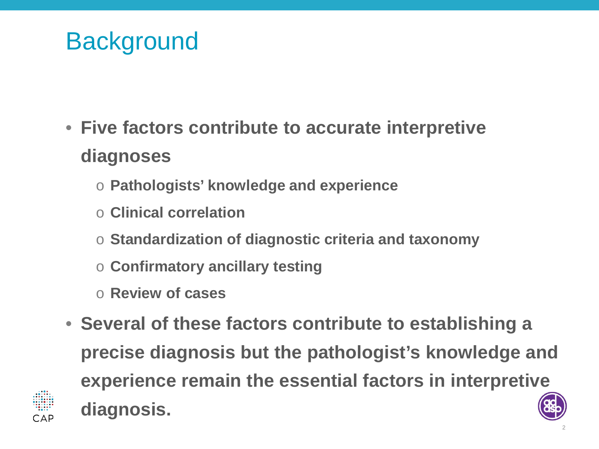## **Background**

- **Five factors contribute to accurate interpretive diagnoses**
	- o **Pathologists' knowledge and experience**
	- o **Clinical correlation**
	- o **Standardization of diagnostic criteria and taxonomy**
	- o **Confirmatory ancillary testing**
	- o **Review of cases**
- **Several of these factors contribute to establishing a precise diagnosis but the pathologist's knowledge and experience remain the essential factors in interpretive diagnosis.**

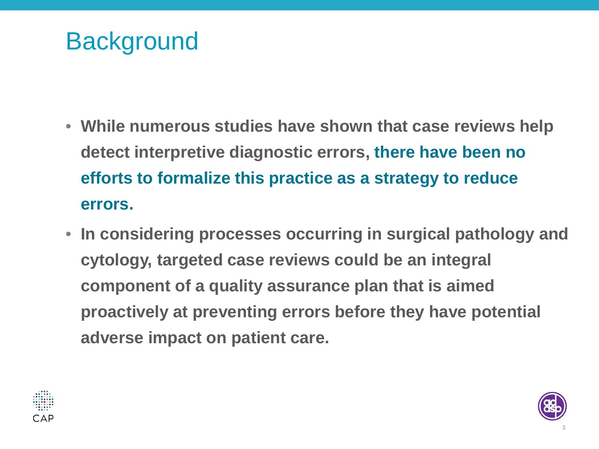## **Background**

- **While numerous studies have shown that case reviews help detect interpretive diagnostic errors, there have been no efforts to formalize this practice as a strategy to reduce errors.**
- **In considering processes occurring in surgical pathology and cytology, targeted case reviews could be an integral component of a quality assurance plan that is aimed proactively at preventing errors before they have potential adverse impact on patient care.**



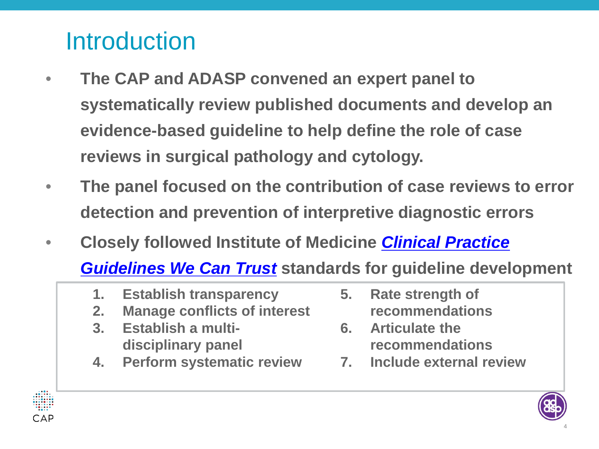## **Introduction**

- **The CAP and ADASP convened an expert panel to systematically review published documents and develop an evidence-based guideline to help define the role of case reviews in surgical pathology and cytology.**
- **The panel focused on the contribution of case reviews to error detection and prevention of interpretive diagnostic errors**
- **Closely followed Institute of Medicine** *[Clinical Practice](https://www.iom.edu/Reports/2011/Clinical-Practice-Guidelines-We-Can-Trust.aspx)*

*[Guidelines We Can Trust](https://www.iom.edu/Reports/2011/Clinical-Practice-Guidelines-We-Can-Trust.aspx)* **standards for guideline development**

- **1. Establish transparency**
- **2. Manage conflicts of interest**
- **3. Establish a multidisciplinary panel**
- **4. Perform systematic review**
- **5. Rate strength of recommendations**
- **6. Articulate the recommendations**
- **7. Include external review**



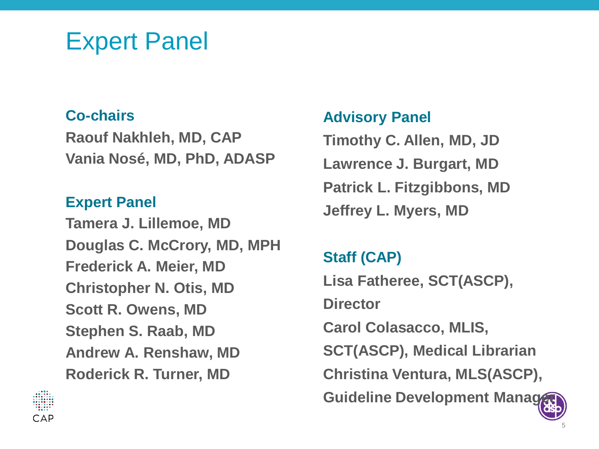#### Expert Panel

#### **Co-chairs**

**Raouf Nakhleh, MD, CAP Vania Nosé, MD, PhD, ADASP**

#### **Expert Panel**

**Tamera J. Lillemoe, MD Douglas C. McCrory, MD, MPH Frederick A. Meier, MD Christopher N. Otis, MD Scott R. Owens, MD Stephen S. Raab, MD Andrew A. Renshaw, MD Roderick R. Turner, MD**

#### **Advisory Panel**

**Timothy C. Allen, MD, JD Lawrence J. Burgart, MD Patrick L. Fitzgibbons, MD Jeffrey L. Myers, MD** 

#### **Staff (CAP)**

**Lisa Fatheree, SCT(ASCP), Director Carol Colasacco, MLIS, SCT(ASCP), Medical Librarian Christina Ventura, MLS(ASCP), Guideline Development Manager** 

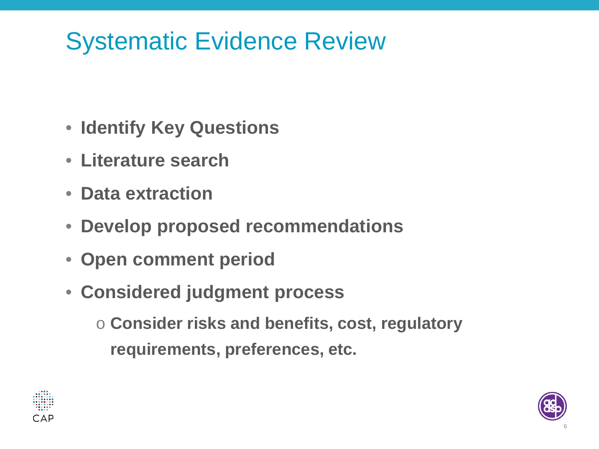# Systematic Evidence Review

- **Identify Key Questions**
- **Literature search**
- **Data extraction**
- **Develop proposed recommendations**
- **Open comment period**
- **Considered judgment process**

o **Consider risks and benefits, cost, regulatory requirements, preferences, etc.**



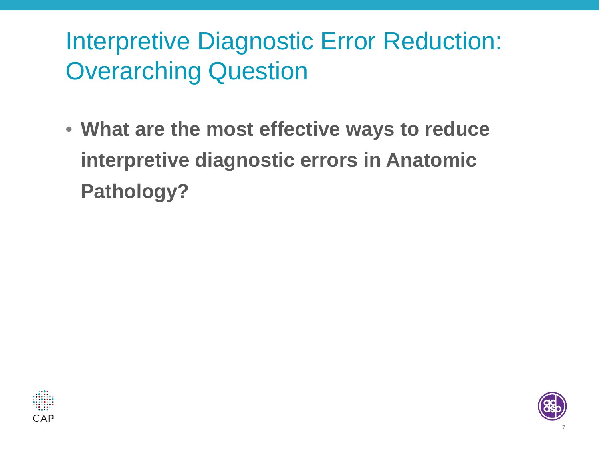# Interpretive Diagnostic Error Reduction: Overarching Question

• **What are the most effective ways to reduce interpretive diagnostic errors in Anatomic Pathology?**



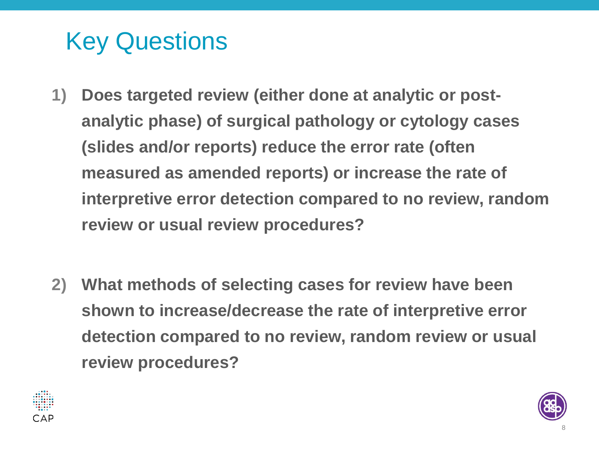# Key Questions

- **1) Does targeted review (either done at analytic or postanalytic phase) of surgical pathology or cytology cases (slides and/or reports) reduce the error rate (often measured as amended reports) or increase the rate of interpretive error detection compared to no review, random review or usual review procedures?**
- **2) What methods of selecting cases for review have been shown to increase/decrease the rate of interpretive error detection compared to no review, random review or usual review procedures?**



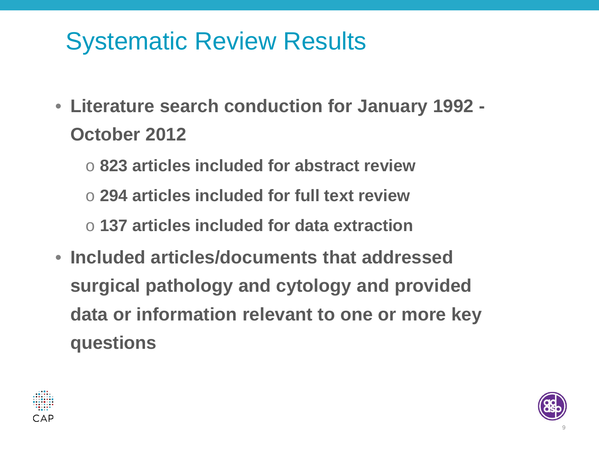# Systematic Review Results

- **Literature search conduction for January 1992 October 2012**
	- o **823 articles included for abstract review**
	- o **294 articles included for full text review**
	- o **137 articles included for data extraction**
- **Included articles/documents that addressed surgical pathology and cytology and provided data or information relevant to one or more key questions**



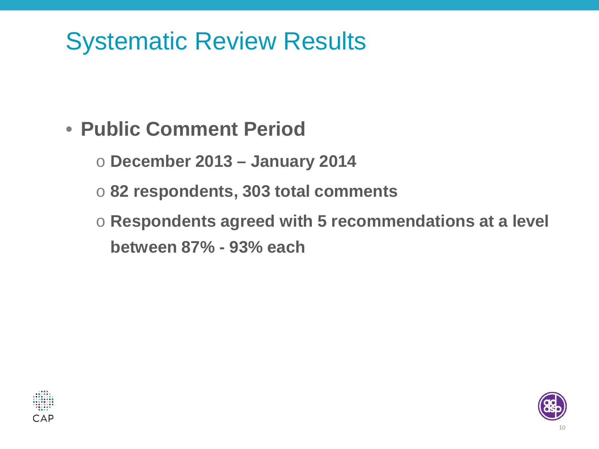# Systematic Review Results

#### • **Public Comment Period**

- o **December 2013 – January 2014**
- o **82 respondents, 303 total comments**
- o **Respondents agreed with 5 recommendations at a level between 87% - 93% each**



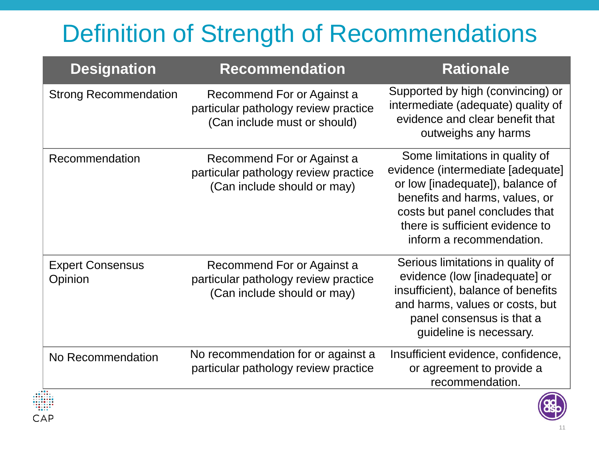# Definition of Strength of Recommendations

| <b>Designation</b>                 | <b>Recommendation</b>                                                                              | <b>Rationale</b>                                                                                                                                                                                                                           |
|------------------------------------|----------------------------------------------------------------------------------------------------|--------------------------------------------------------------------------------------------------------------------------------------------------------------------------------------------------------------------------------------------|
| <b>Strong Recommendation</b>       | Recommend For or Against a<br>particular pathology review practice<br>(Can include must or should) | Supported by high (convincing) or<br>intermediate (adequate) quality of<br>evidence and clear benefit that<br>outweighs any harms                                                                                                          |
| Recommendation                     | Recommend For or Against a<br>particular pathology review practice<br>(Can include should or may)  | Some limitations in quality of<br>evidence (intermediate [adequate]<br>or low [inadequate]), balance of<br>benefits and harms, values, or<br>costs but panel concludes that<br>there is sufficient evidence to<br>inform a recommendation. |
| <b>Expert Consensus</b><br>Opinion | Recommend For or Against a<br>particular pathology review practice<br>(Can include should or may)  | Serious limitations in quality of<br>evidence (low [inadequate] or<br>insufficient), balance of benefits<br>and harms, values or costs, but<br>panel consensus is that a<br>guideline is necessary.                                        |
| No Recommendation                  | No recommendation for or against a<br>particular pathology review practice                         | Insufficient evidence, confidence,<br>or agreement to provide a<br>recommendation.                                                                                                                                                         |

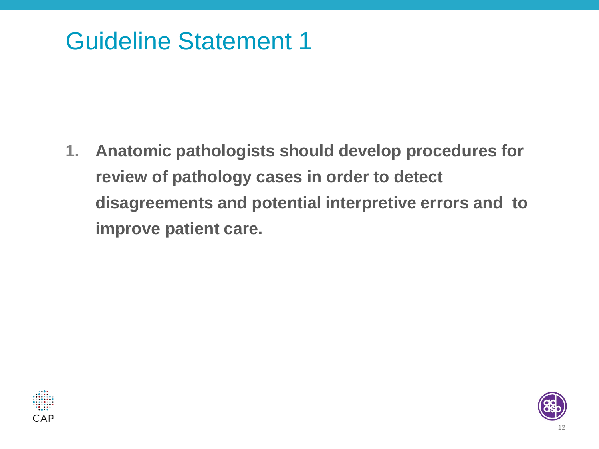## Guideline Statement 1

**1. Anatomic pathologists should develop procedures for review of pathology cases in order to detect disagreements and potential interpretive errors and to improve patient care.**



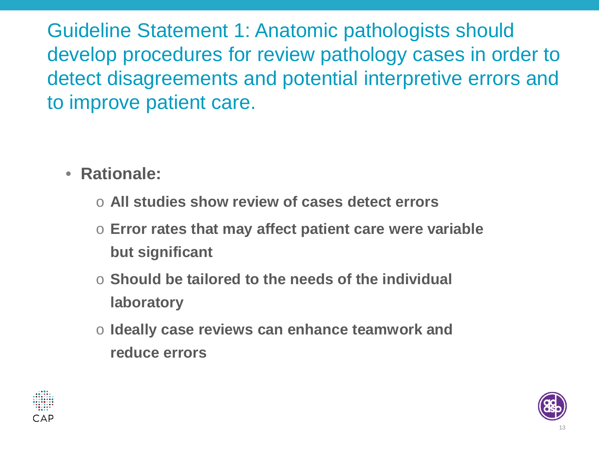Guideline Statement 1: Anatomic pathologists should develop procedures for review pathology cases in order to detect disagreements and potential interpretive errors and to improve patient care.

- **Rationale:**
	- o **All studies show review of cases detect errors**
	- o **Error rates that may affect patient care were variable but significant**
	- o **Should be tailored to the needs of the individual laboratory**
	- o **Ideally case reviews can enhance teamwork and reduce errors**



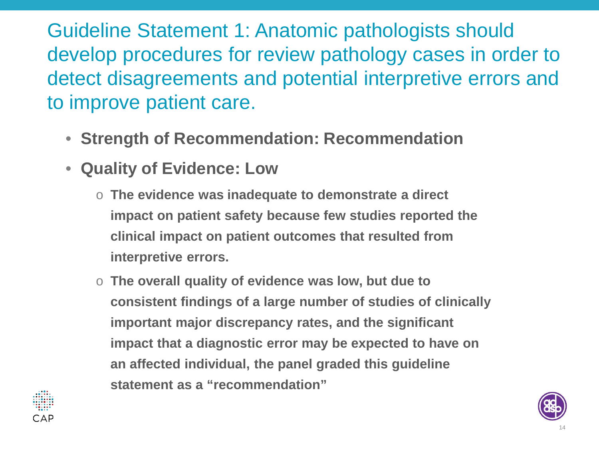Guideline Statement 1: Anatomic pathologists should develop procedures for review pathology cases in order to detect disagreements and potential interpretive errors and to improve patient care.

- **Strength of Recommendation: Recommendation**
- **Quality of Evidence: Low**
	- o **The evidence was inadequate to demonstrate a direct impact on patient safety because few studies reported the clinical impact on patient outcomes that resulted from interpretive errors.**
	- o **The overall quality of evidence was low, but due to consistent findings of a large number of studies of clinically important major discrepancy rates, and the significant impact that a diagnostic error may be expected to have on an affected individual, the panel graded this guideline statement as a "recommendation"**



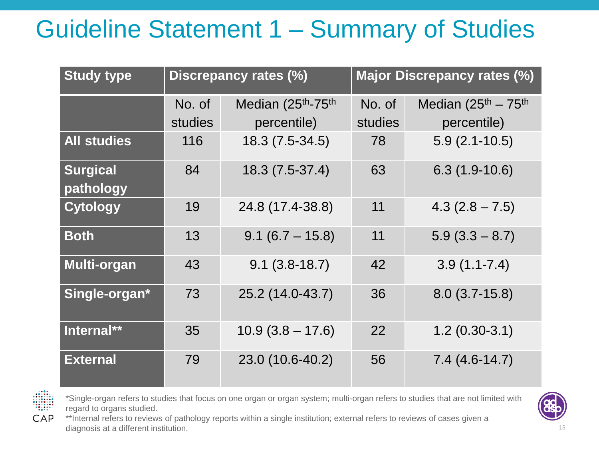# Guideline Statement 1 – Summary of Studies

| <b>Study type</b>            | Discrepancy rates (%) |                    | <b>Major Discrepancy rates (%)</b> |                        |
|------------------------------|-----------------------|--------------------|------------------------------------|------------------------|
|                              | No. of                | Median (25th-75th  | No. of                             | Median $(25th - 75th)$ |
|                              | studies               | percentile)        | studies                            | percentile)            |
| <b>All studies</b>           | 116                   | 18.3 (7.5-34.5)    | 78                                 | $5.9(2.1-10.5)$        |
| <b>Surgical</b><br>pathology | 84                    | 18.3 (7.5-37.4)    | 63                                 | $6.3(1.9-10.6)$        |
| <b>Cytology</b>              | 19                    | 24.8 (17.4-38.8)   | 11                                 | $4.3(2.8 - 7.5)$       |
| <b>Both</b>                  | 13                    | $9.1 (6.7 - 15.8)$ | 11                                 | $5.9(3.3 - 8.7)$       |
| Multi-organ                  | 43                    | $9.1(3.8-18.7)$    | 42                                 | $3.9(1.1 - 7.4)$       |
| Single-organ*                | 73                    | 25.2 (14.0-43.7)   | 36                                 | $8.0(3.7-15.8)$        |
| Internal**                   | 35                    | $10.9(3.8 - 17.6)$ | 22                                 | $1.2(0.30-3.1)$        |
| <b>External</b>              | 79                    | 23.0 (10.6-40.2)   | 56                                 | $7.4(4.6-14.7)$        |



\*Single-organ refers to studies that focus on one organ or organ system; multi-organ refers to studies that are not limited with regard to organs studied.



\*\*Internal refers to reviews of pathology reports within a single institution; external refers to reviews of cases given a diagnosis at a different institution.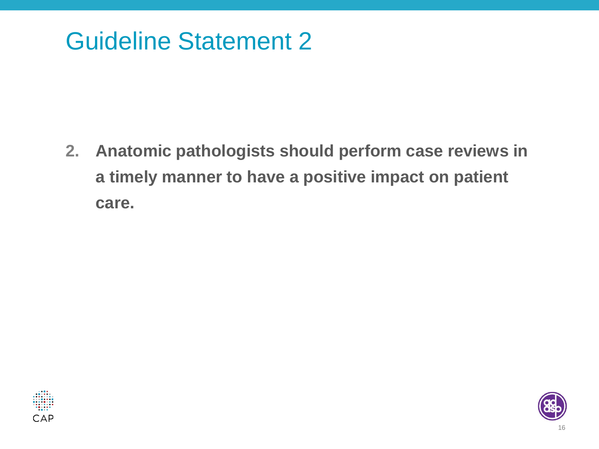## Guideline Statement 2

**2. Anatomic pathologists should perform case reviews in a timely manner to have a positive impact on patient care.** 



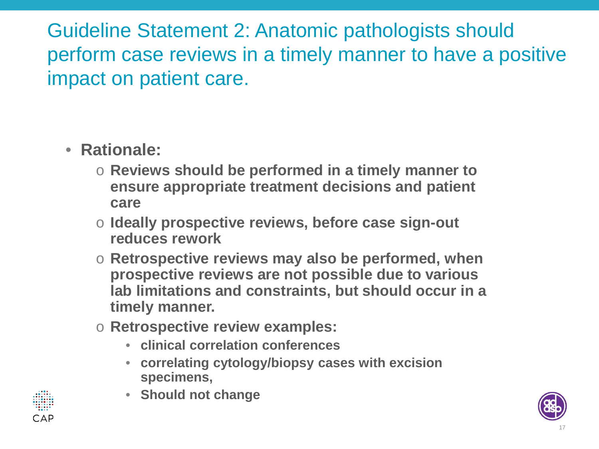Guideline Statement 2: Anatomic pathologists should perform case reviews in a timely manner to have a positive impact on patient care.

- **Rationale:**
	- o **Reviews should be performed in a timely manner to ensure appropriate treatment decisions and patient care**
	- o **Ideally prospective reviews, before case sign-out reduces rework**
	- o **Retrospective reviews may also be performed, when prospective reviews are not possible due to various lab limitations and constraints, but should occur in a timely manner.**
	- o **Retrospective review examples:** 
		- **clinical correlation conferences**
		- **correlating cytology/biopsy cases with excision specimens,**
		- **Should not change**



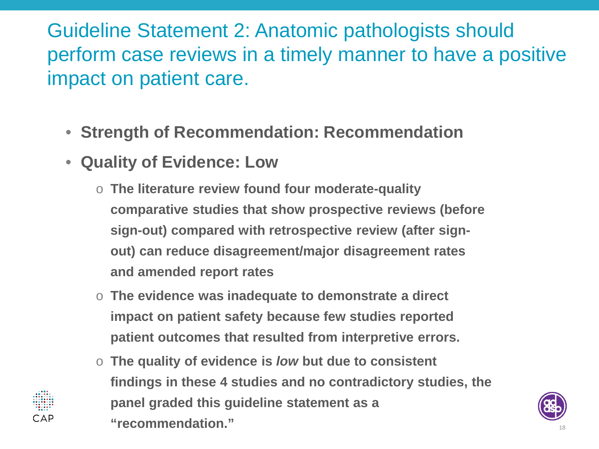Guideline Statement 2: Anatomic pathologists should perform case reviews in a timely manner to have a positive impact on patient care.

- **Strength of Recommendation: Recommendation**
- **Quality of Evidence: Low**
	- o **The literature review found four moderate-quality comparative studies that show prospective reviews (before sign-out) compared with retrospective review (after signout) can reduce disagreement/major disagreement rates and amended report rates**
	- o **The evidence was inadequate to demonstrate a direct impact on patient safety because few studies reported patient outcomes that resulted from interpretive errors.**
	- o **The quality of evidence is** *low* **but due to consistent findings in these 4 studies and no contradictory studies, the panel graded this guideline statement as a "recommendation."** <sup>18</sup>

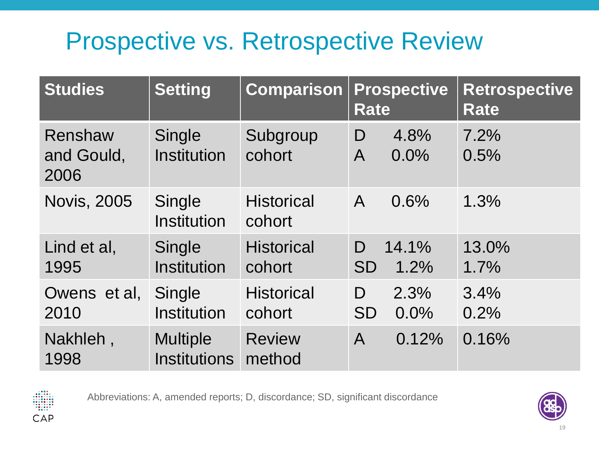# Prospective vs. Retrospective Review

| <b>Studies</b>                | <b>Setting</b>                         | <b>Comparison</b>           | <b>Prospective</b><br><b>Rate</b> | <b>Retrospective</b><br><b>Rate</b> |
|-------------------------------|----------------------------------------|-----------------------------|-----------------------------------|-------------------------------------|
| Renshaw<br>and Gould,<br>2006 | Single<br>Institution                  | Subgroup<br>cohort          | 4.8%<br>D<br>0.0%<br>$\mathsf{A}$ | 7.2%<br>0.5%                        |
| <b>Novis, 2005</b>            | Single<br>Institution                  | <b>Historical</b><br>cohort | 0.6%<br>$\mathsf{A}$              | 1.3%                                |
| Lind et al,<br>1995           | Single<br><b>Institution</b>           | <b>Historical</b><br>cohort | 14.1%<br>D<br><b>SD</b><br>1.2%   | 13.0%<br>1.7%                       |
| Owens et al,<br>2010          | Single<br>Institution                  | <b>Historical</b><br>cohort | 2.3%<br>D<br>0.0%<br><b>SD</b>    | 3.4%<br>0.2%                        |
| Nakhleh,<br>1998              | <b>Multiple</b><br><b>Institutions</b> | <b>Review</b><br>method     | 0.12%<br>$\mathsf{A}$             | 0.16%                               |



Abbreviations: A, amended reports; D, discordance; SD, significant discordance

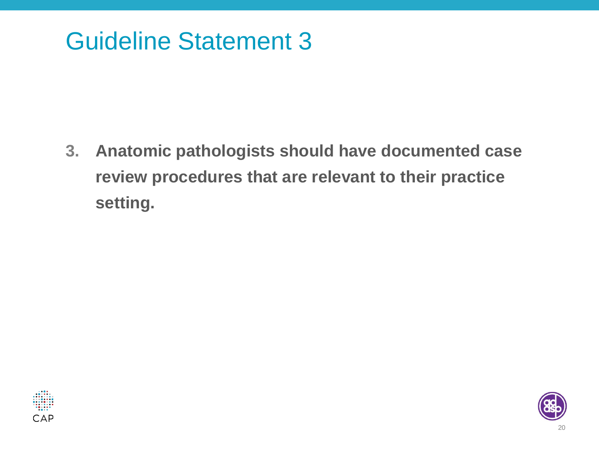## Guideline Statement 3

**3. Anatomic pathologists should have documented case review procedures that are relevant to their practice setting.**



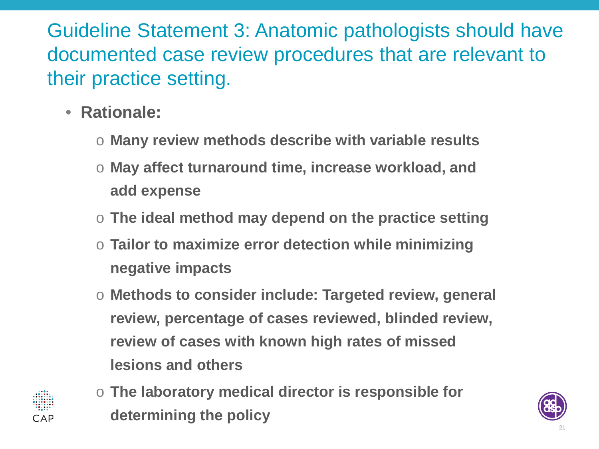Guideline Statement 3: Anatomic pathologists should have documented case review procedures that are relevant to their practice setting.

- **Rationale:**
	- o **Many review methods describe with variable results**
	- o **May affect turnaround time, increase workload, and add expense**
	- o **The ideal method may depend on the practice setting**
	- Tailor to maximize error detection while minimizing **negative impacts**
	- o **Methods to consider include: Targeted review, general review, percentage of cases reviewed, blinded review, review of cases with known high rates of missed lesions and others**



o **The laboratory medical director is responsible for determining the policy**

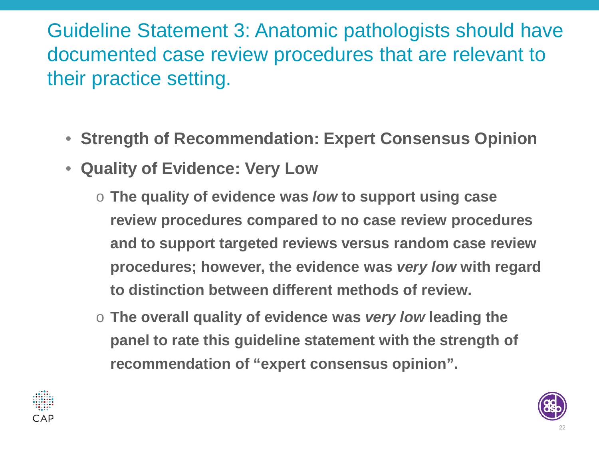Guideline Statement 3: Anatomic pathologists should have documented case review procedures that are relevant to their practice setting.

- **Strength of Recommendation: Expert Consensus Opinion**
- **Quality of Evidence: Very Low**
	- o **The quality of evidence was** *low* **to support using case review procedures compared to no case review procedures and to support targeted reviews versus random case review procedures; however, the evidence was** *very low* **with regard to distinction between different methods of review.**
	- o **The overall quality of evidence was** *very low* **leading the panel to rate this guideline statement with the strength of recommendation of "expert consensus opinion".**



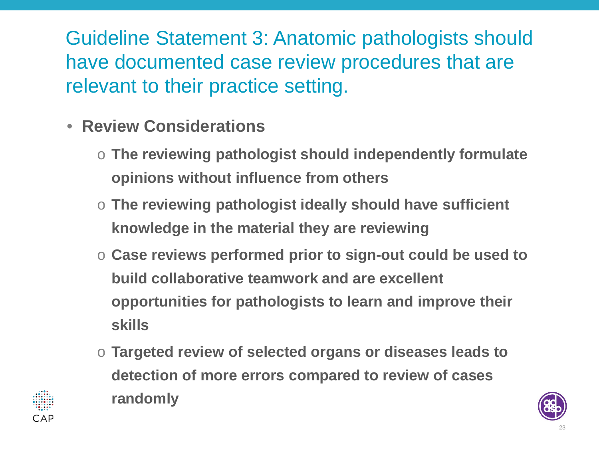Guideline Statement 3: Anatomic pathologists should have documented case review procedures that are relevant to their practice setting.

- **Review Considerations**
	- o **The reviewing pathologist should independently formulate opinions without influence from others**
	- o **The reviewing pathologist ideally should have sufficient knowledge in the material they are reviewing**
	- o **Case reviews performed prior to sign-out could be used to build collaborative teamwork and are excellent opportunities for pathologists to learn and improve their skills**
	- o **Targeted review of selected organs or diseases leads to detection of more errors compared to review of cases randomly**



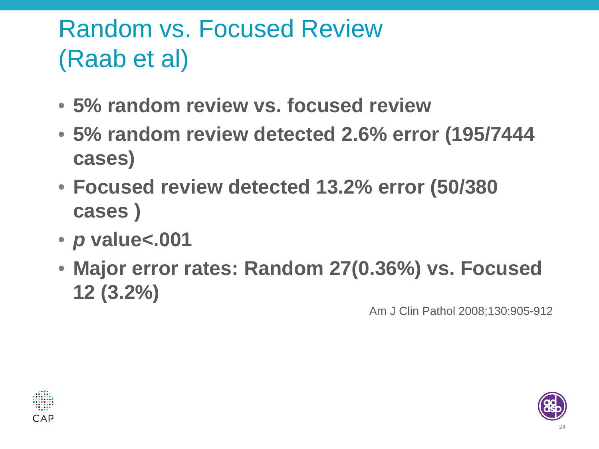# Random vs. Focused Review (Raab et al)

- **5% random review vs. focused review**
- **5% random review detected 2.6% error (195/7444 cases)**
- **Focused review detected 13.2% error (50/380 cases )**
- *p* **value<.001**
- **Major error rates: Random 27(0.36%) vs. Focused 12 (3.2%)**

Am J Clin Pathol 2008;130:905-912



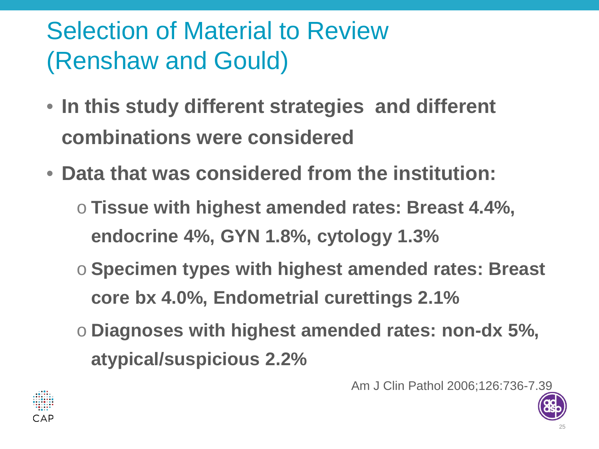# Selection of Material to Review (Renshaw and Gould)

- **In this study different strategies and different combinations were considered**
- **Data that was considered from the institution:**
	- o **Tissue with highest amended rates: Breast 4.4%, endocrine 4%, GYN 1.8%, cytology 1.3%**
	- o **Specimen types with highest amended rates: Breast core bx 4.0%, Endometrial curettings 2.1%**
	- o **Diagnoses with highest amended rates: non-dx 5%, atypical/suspicious 2.2%**

Am J Clin Pathol 2006;126:736-7.39



25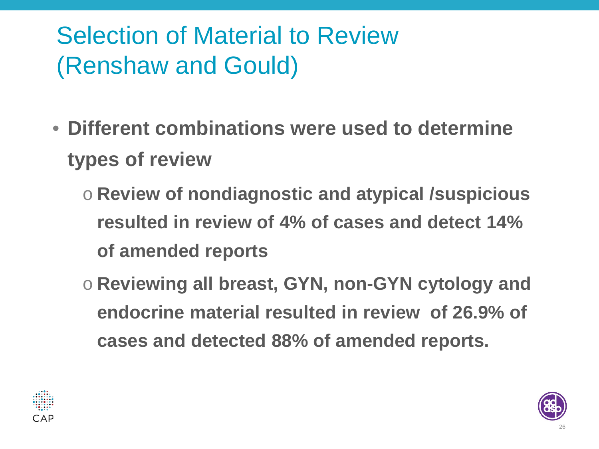# Selection of Material to Review (Renshaw and Gould)

- **Different combinations were used to determine types of review**
	- o **Review of nondiagnostic and atypical /suspicious resulted in review of 4% of cases and detect 14% of amended reports**
	- o **Reviewing all breast, GYN, non-GYN cytology and endocrine material resulted in review of 26.9% of cases and detected 88% of amended reports.**



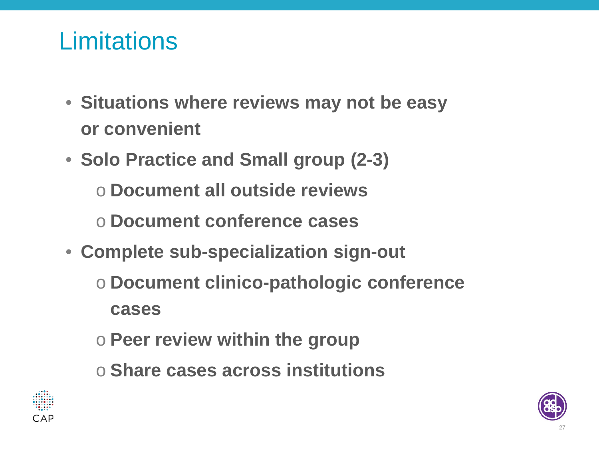## **Limitations**

- **Situations where reviews may not be easy or convenient**
- **Solo Practice and Small group (2-3)**
	- o **Document all outside reviews**
	- o **Document conference cases**
- **Complete sub-specialization sign-out**
	- o **Document clinico-pathologic conference cases**
	- o **Peer review within the group**
	- o **Share cases across institutions**



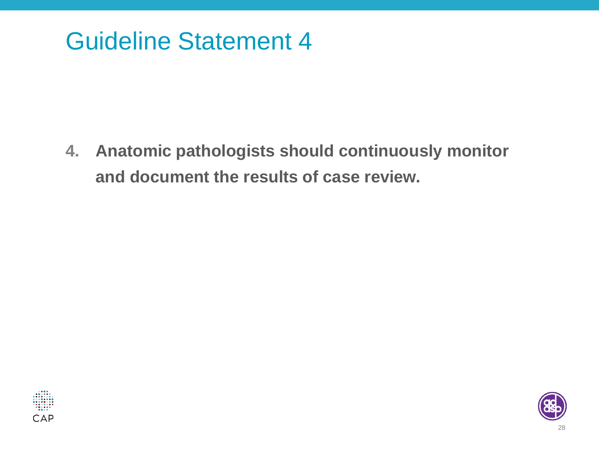#### Guideline Statement 4

**4. Anatomic pathologists should continuously monitor and document the results of case review.**



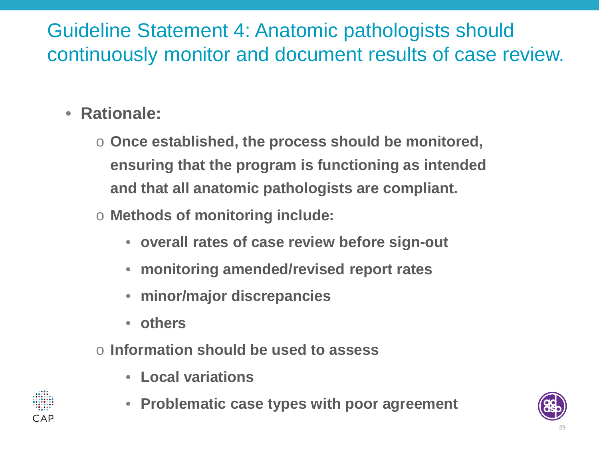#### Guideline Statement 4: Anatomic pathologists should continuously monitor and document results of case review.

- **Rationale:**
	- o **Once established, the process should be monitored, ensuring that the program is functioning as intended and that all anatomic pathologists are compliant.**
	- o **Methods of monitoring include:** 
		- **overall rates of case review before sign-out**
		- **monitoring amended/revised report rates**
		- **minor/major discrepancies**
		- **others**
	- o **Information should be used to assess**
		- **Local variations**
		- **Problematic case types with poor agreement**



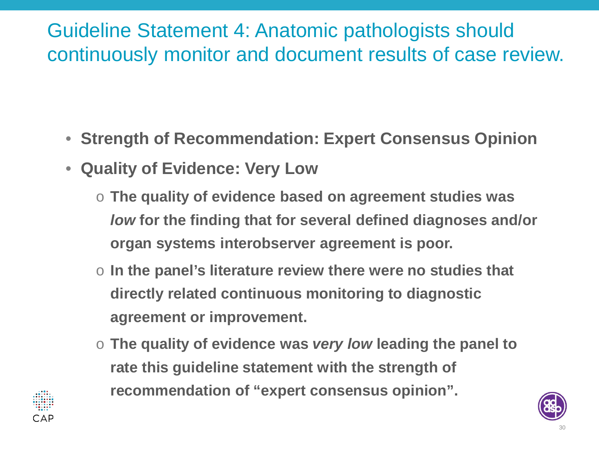#### Guideline Statement 4: Anatomic pathologists should continuously monitor and document results of case review.

- **Strength of Recommendation: Expert Consensus Opinion**
- **Quality of Evidence: Very Low**
	- o **The quality of evidence based on agreement studies was**  *low* **for the finding that for several defined diagnoses and/or organ systems interobserver agreement is poor.**
	- o **In the panel's literature review there were no studies that directly related continuous monitoring to diagnostic agreement or improvement.**
	- o **The quality of evidence was** *very low* **leading the panel to rate this guideline statement with the strength of recommendation of "expert consensus opinion".**

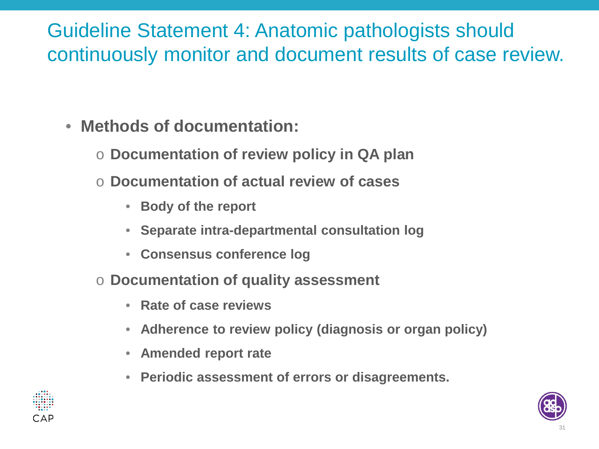#### Guideline Statement 4: Anatomic pathologists should continuously monitor and document results of case review.

- **Methods of documentation:**
	- o **Documentation of review policy in QA plan**
	- Documentation of actual review of cases
		- **Body of the report**
		- **Separate intra-departmental consultation log**
		- **Consensus conference log**
	- o **Documentation of quality assessment** 
		- **Rate of case reviews**
		- **Adherence to review policy (diagnosis or organ policy)**
		- **Amended report rate**
		- **Periodic assessment of errors or disagreements.**



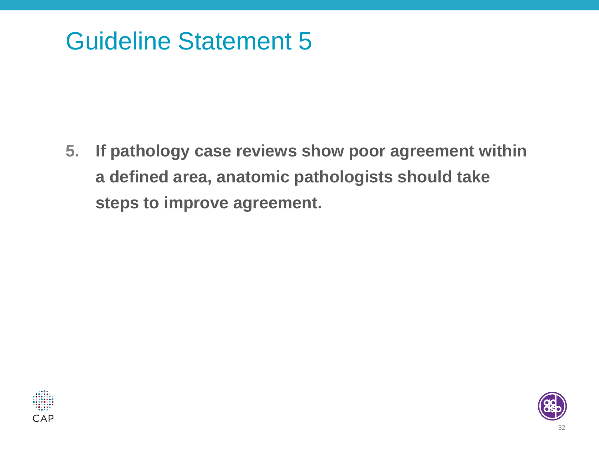## Guideline Statement 5

**5. If pathology case reviews show poor agreement within a defined area, anatomic pathologists should take steps to improve agreement.** 



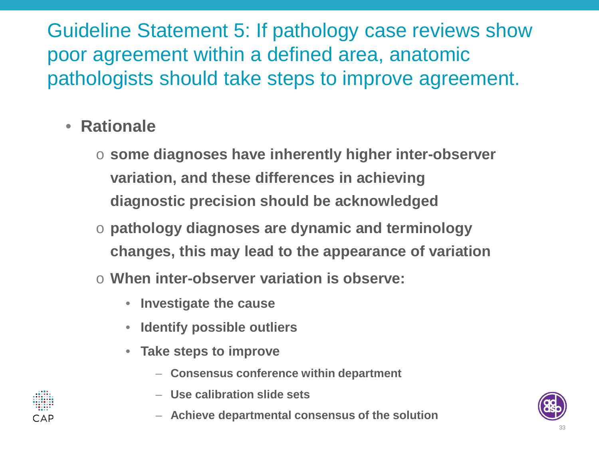Guideline Statement 5: If pathology case reviews show poor agreement within a defined area, anatomic pathologists should take steps to improve agreement.

- **Rationale**
	- o **some diagnoses have inherently higher inter-observer variation, and these differences in achieving diagnostic precision should be acknowledged**
	- o **pathology diagnoses are dynamic and terminology changes, this may lead to the appearance of variation**
	- o **When inter-observer variation is observe:**
		- **Investigate the cause**
		- **Identify possible outliers**
		- **Take steps to improve** 
			- **Consensus conference within department**
			- **Use calibration slide sets**
			- **Achieve departmental consensus of the solution**



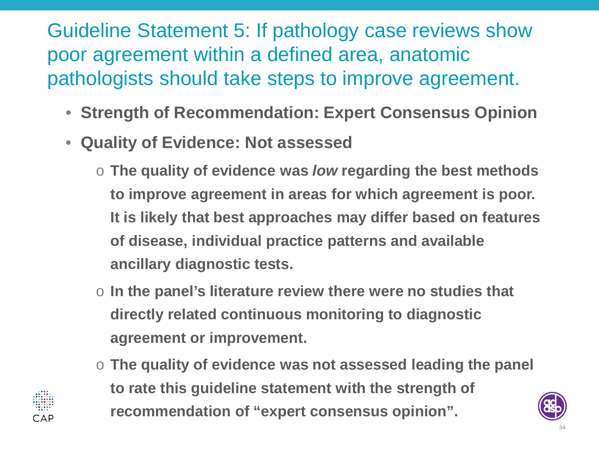#### Guideline Statement 5: If pathology case reviews show poor agreement within a defined area, anatomic pathologists should take steps to improve agreement.

- **Strength of Recommendation: Expert Consensus Opinion**
- **Quality of Evidence: Not assessed**
	- o **The quality of evidence was** *low* **regarding the best methods to improve agreement in areas for which agreement is poor. It is likely that best approaches may differ based on features of disease, individual practice patterns and available ancillary diagnostic tests.**
	- o **In the panel's literature review there were no studies that directly related continuous monitoring to diagnostic agreement or improvement.**
	- o **The quality of evidence was not assessed leading the panel to rate this guideline statement with the strength of recommendation of "expert consensus opinion".**

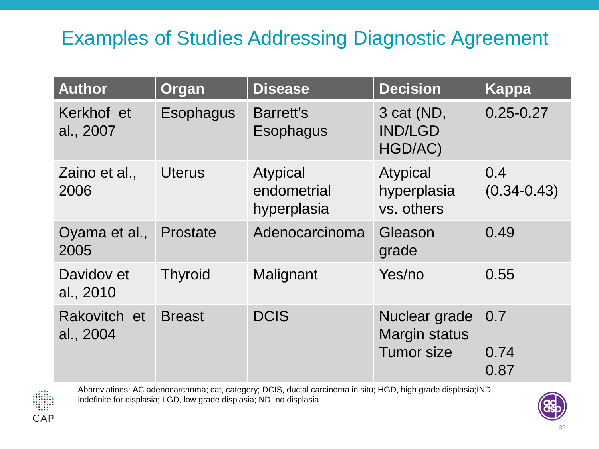#### Examples of Studies Addressing Diagnostic Agreement

| <b>Author</b>             | Organ            | <b>Disease</b>                                | <b>Decision</b>                                            | <b>Kappa</b>           |
|---------------------------|------------------|-----------------------------------------------|------------------------------------------------------------|------------------------|
| Kerkhof et<br>al., 2007   | <b>Esophagus</b> | Barrett's<br>Esophagus                        | 3 cat (ND,<br><b>IND/LGD</b><br>HGD/AC)                    | $0.25 - 0.27$          |
| Zaino et al.,<br>2006     | <b>Uterus</b>    | <b>Atypical</b><br>endometrial<br>hyperplasia | Atypical<br>hyperplasia<br>vs. others                      | 0.4<br>$(0.34 - 0.43)$ |
| Oyama et al.,<br>2005     | Prostate         | Adenocarcinoma                                | Gleason<br>grade                                           | 0.49                   |
| Davidov et<br>al., 2010   | <b>Thyroid</b>   | Malignant                                     | Yes/no                                                     | 0.55                   |
| Rakovitch et<br>al., 2004 | <b>Breast</b>    | <b>DCIS</b>                                   | Nuclear grade<br><b>Margin status</b><br><b>Tumor size</b> | 0.7<br>0.74<br>0.87    |



Abbreviations: AC adenocarcnoma; cat, category; DCIS, ductal carcinoma in situ; HGD, high grade displasia;IND, indefinite for displasia; LGD, low grade displasia; ND, no displasia

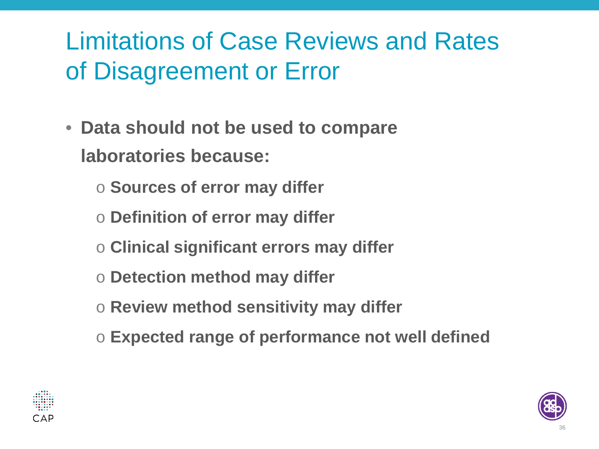# Limitations of Case Reviews and Rates of Disagreement or Error

- **Data should not be used to compare laboratories because:**
	- o **Sources of error may differ**
	- o **Definition of error may differ**
	- o **Clinical significant errors may differ**
	- o **Detection method may differ**
	- o **Review method sensitivity may differ**
	- o **Expected range of performance not well defined**



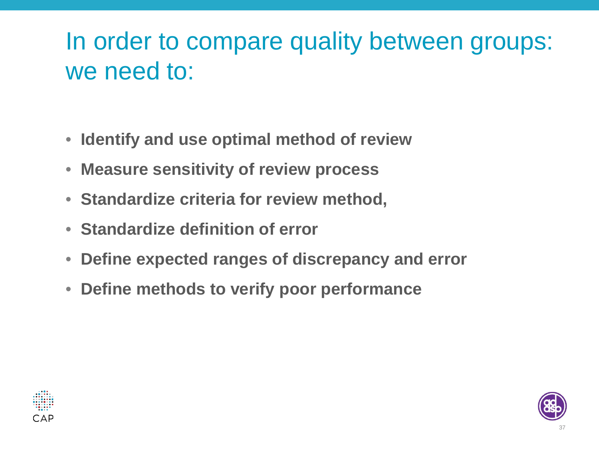## In order to compare quality between groups: we need to:

- **Identify and use optimal method of review**
- **Measure sensitivity of review process**
- **Standardize criteria for review method,**
- **Standardize definition of error**
- **Define expected ranges of discrepancy and error**
- **Define methods to verify poor performance**



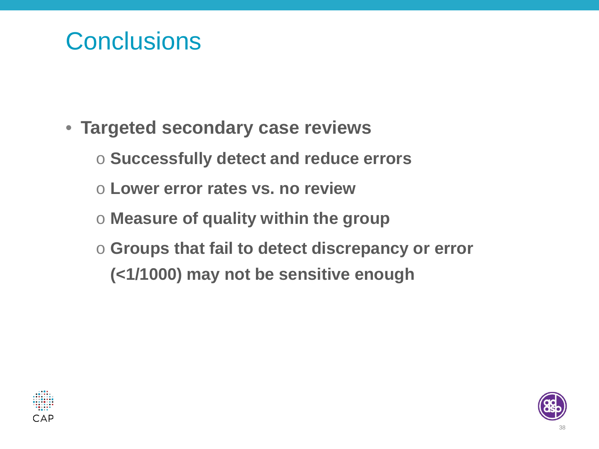#### **Conclusions**

- **Targeted secondary case reviews**
	- o **Successfully detect and reduce errors**
	- o **Lower error rates vs. no review**
	- o **Measure of quality within the group**
	- o **Groups that fail to detect discrepancy or error (<1/1000) may not be sensitive enough**



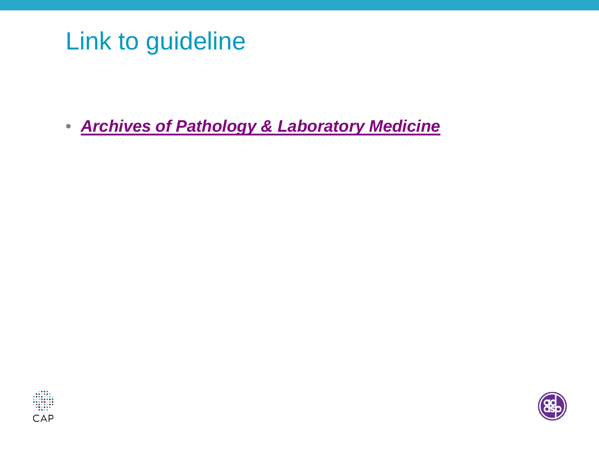## Link to guideline

• *[Archives of Pathology & Laboratory Medicine](http://www.archivesofpathology.org/doi/full/10.5858/arpa.2014-0511-SA?=)*